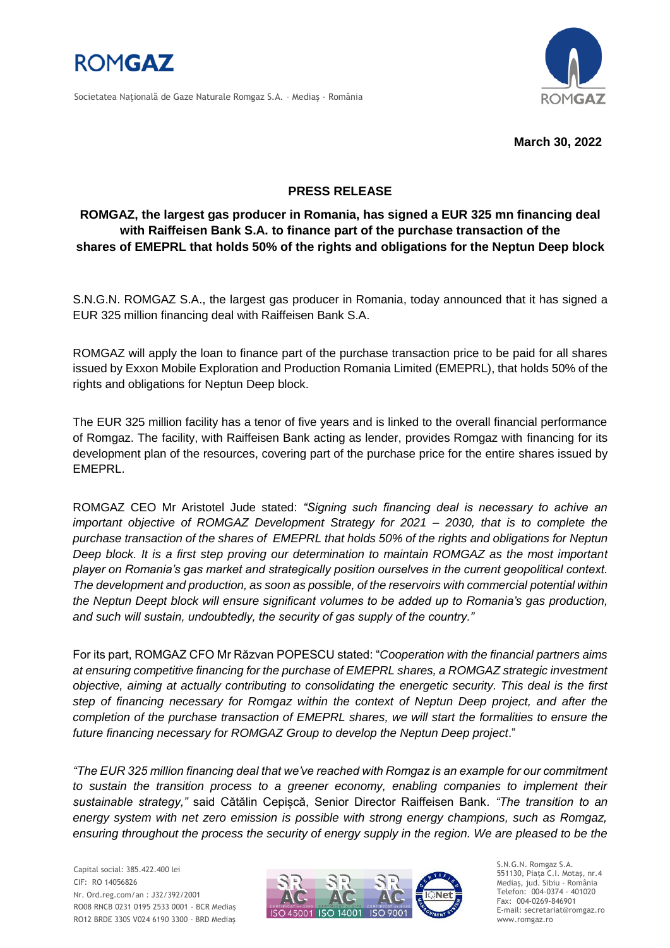

Societatea Naţională de Gaze Naturale Romgaz S.A. – Mediaş - România



**March 30, 2022**

## **PRESS RELEASE**

## **ROMGAZ, the largest gas producer in Romania, has signed a EUR 325 mn financing deal with Raiffeisen Bank S.A. to finance part of the purchase transaction of the shares of EMEPRL that holds 50% of the rights and obligations for the Neptun Deep block**

S.N.G.N. ROMGAZ S.A., the largest gas producer in Romania, today announced that it has signed a EUR 325 million financing deal with Raiffeisen Bank S.A.

ROMGAZ will apply the loan to finance part of the purchase transaction price to be paid for all shares issued by Exxon Mobile Exploration and Production Romania Limited (EMEPRL), that holds 50% of the rights and obligations for Neptun Deep block.

The EUR 325 million facility has a tenor of five years and is linked to the overall financial performance of Romgaz. The facility, with Raiffeisen Bank acting as lender, provides Romgaz with financing for its development plan of the resources, covering part of the purchase price for the entire shares issued by EMEPRL.

ROMGAZ CEO Mr Aristotel Jude stated: *"Signing such financing deal is necessary to achive an important objective of ROMGAZ Development Strategy for 2021 – 2030, that is to complete the purchase transaction of the shares of EMEPRL that holds 50% of the rights and obligations for Neptun Deep block. It is a first step proving our determination to maintain ROMGAZ as the most important player on Romania's gas market and strategically position ourselves in the current geopolitical context. The development and production, as soon as possible, of the reservoirs with commercial potential within the Neptun Deept block will ensure significant volumes to be added up to Romania's gas production, and such will sustain, undoubtedly, the security of gas supply of the country."*

For its part, ROMGAZ CFO Mr Răzvan POPESCU stated: "*Cooperation with the financial partners aims at ensuring competitive financing for the purchase of EMEPRL shares, a ROMGAZ strategic investment objective, aiming at actually contributing to consolidating the energetic security. This deal is the first step of financing necessary for Romgaz within the context of Neptun Deep project, and after the completion of the purchase transaction of EMEPRL shares, we will start the formalities to ensure the future financing necessary for ROMGAZ Group to develop the Neptun Deep project*."

*"The EUR 325 million financing deal that we've reached with Romgaz is an example for our commitment to sustain the transition process to a greener economy, enabling companies to implement their sustainable strategy,"* said Cătălin Cepișcă, Senior Director Raiffeisen Bank*. "The transition to an energy system with net zero emission is possible with strong energy champions, such as Romgaz, ensuring throughout the process the security of energy supply in the region. We are pleased to be the*

Capital social: 385.422.400 lei CIF: RO 14056826 Nr. Ord.reg.com/an : J32/392/2001 RO08 RNCB 0231 0195 2533 0001 - BCR Mediaş RO12 BRDE 330S V024 6190 3300 - BRD Mediaş



S.N.G.N. Romgaz S.A. 551130, Piața C.I. Motaş, nr.4 Mediaş, jud. Sibiu - România Telefon: 004-0374 - 401020 Fax: 004-0269-846901 E-mail: secretariat@romgaz.ro www.romgaz.ro